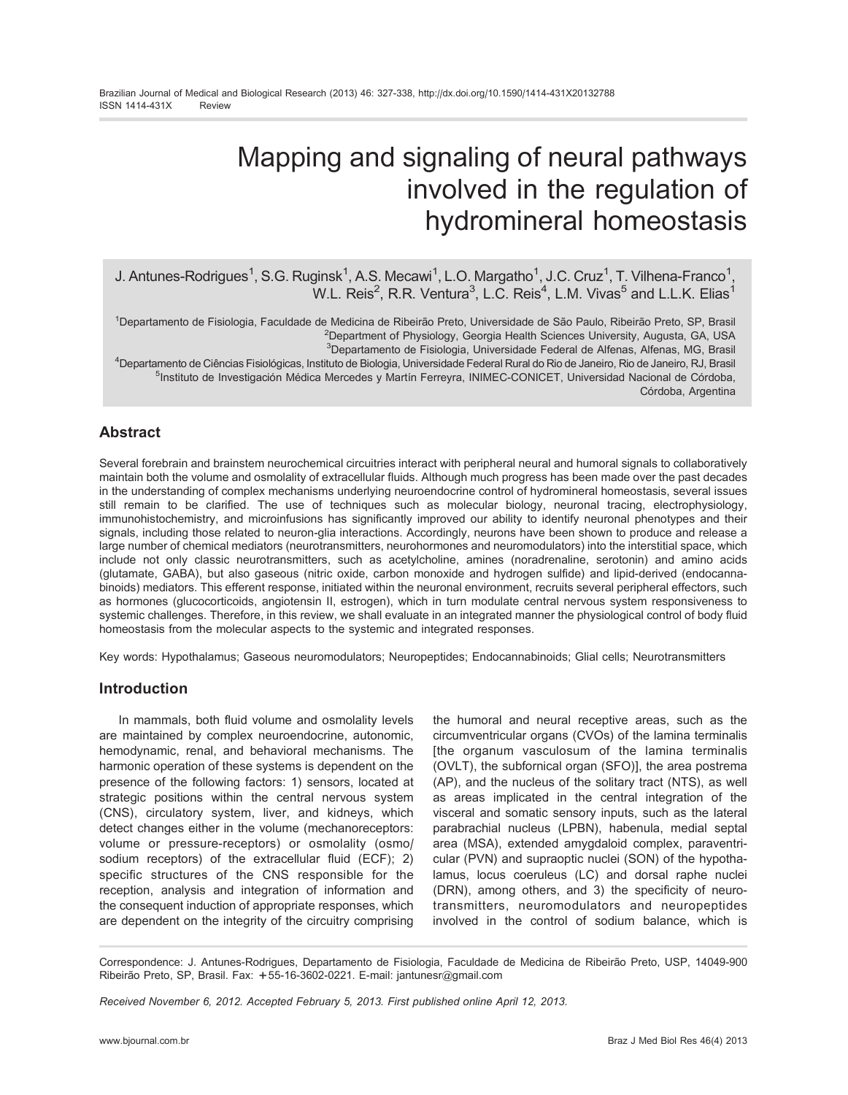# Mapping and signaling of neural pathways involved in the regulation of hydromineral homeostasis

# J. Antunes-Rodrigues<sup>1</sup>, S.G. Ruginsk<sup>1</sup>, A.S. Mecawi<sup>1</sup>, L.O. Margatho<sup>1</sup>, J.C. Cruz<sup>1</sup>, T. Vilhena-Franco<sup>1</sup>, W.L. Reis<sup>2</sup>, R.R. Ventura<sup>3</sup>, L.C. Reis<sup>4</sup>, L.M. Vivas<sup>5</sup> and L.L.K. Elias<sup>1</sup>

<sup>1</sup>Departamento de Fisiologia, Faculdade de Medicina de Ribeirão Preto, Universidade de São Paulo, Ribeirão Preto, SP, Brasil <sup>2</sup>Department of Physiology, Georgia Health Sciences University, Augusta, GA, USA <sup>3</sup>Departamento de Fisiologia, Universidade Federal de Alfenas, Alfenas, MG, Brasil

<sup>4</sup>Departamento de Ciências Fisiológicas, Instituto de Biologia, Universidade Federal Rural do Rio de Janeiro, Rio de Janeiro, RJ, Brasil <sup>5</sup>Instituto de Investigación Médica Mercedes y Martín Ferreyra, INIMEC-CONICET, Universidad Nacional de Córdoba, Córdoba, Argentina

## Abstract

Several forebrain and brainstem neurochemical circuitries interact with peripheral neural and humoral signals to collaboratively maintain both the volume and osmolality of extracellular fluids. Although much progress has been made over the past decades in the understanding of complex mechanisms underlying neuroendocrine control of hydromineral homeostasis, several issues still remain to be clarified. The use of techniques such as molecular biology, neuronal tracing, electrophysiology, immunohistochemistry, and microinfusions has significantly improved our ability to identify neuronal phenotypes and their signals, including those related to neuron-glia interactions. Accordingly, neurons have been shown to produce and release a large number of chemical mediators (neurotransmitters, neurohormones and neuromodulators) into the interstitial space, which include not only classic neurotransmitters, such as acetylcholine, amines (noradrenaline, serotonin) and amino acids (glutamate, GABA), but also gaseous (nitric oxide, carbon monoxide and hydrogen sulfide) and lipid-derived (endocannabinoids) mediators. This efferent response, initiated within the neuronal environment, recruits several peripheral effectors, such as hormones (glucocorticoids, angiotensin II, estrogen), which in turn modulate central nervous system responsiveness to systemic challenges. Therefore, in this review, we shall evaluate in an integrated manner the physiological control of body fluid homeostasis from the molecular aspects to the systemic and integrated responses.

Key words: Hypothalamus; Gaseous neuromodulators; Neuropeptides; Endocannabinoids; Glial cells; Neurotransmitters

## Introduction

In mammals, both fluid volume and osmolality levels are maintained by complex neuroendocrine, autonomic, hemodynamic, renal, and behavioral mechanisms. The harmonic operation of these systems is dependent on the presence of the following factors: 1) sensors, located at strategic positions within the central nervous system (CNS), circulatory system, liver, and kidneys, which detect changes either in the volume (mechanoreceptors: volume or pressure-receptors) or osmolality (osmo/ sodium receptors) of the extracellular fluid (ECF); 2) specific structures of the CNS responsible for the reception, analysis and integration of information and the consequent induction of appropriate responses, which are dependent on the integrity of the circuitry comprising

the humoral and neural receptive areas, such as the circumventricular organs (CVOs) of the lamina terminalis [the organum vasculosum of the lamina terminalis (OVLT), the subfornical organ (SFO)], the area postrema (AP), and the nucleus of the solitary tract (NTS), as well as areas implicated in the central integration of the visceral and somatic sensory inputs, such as the lateral parabrachial nucleus (LPBN), habenula, medial septal area (MSA), extended amygdaloid complex, paraventricular (PVN) and supraoptic nuclei (SON) of the hypothalamus, locus coeruleus (LC) and dorsal raphe nuclei (DRN), among others, and 3) the specificity of neurotransmitters, neuromodulators and neuropeptides involved in the control of sodium balance, which is

Correspondence: J. Antunes-Rodrigues, Departamento de Fisiologia, Faculdade de Medicina de Ribeirão Preto, USP, 14049-900 Ribeirão Preto, SP, Brasil. Fax: +55-16-3602-0221. E-mail: jantunesr@gmail.com

Received November 6, 2012. Accepted February 5, 2013. First published online April 12, 2013.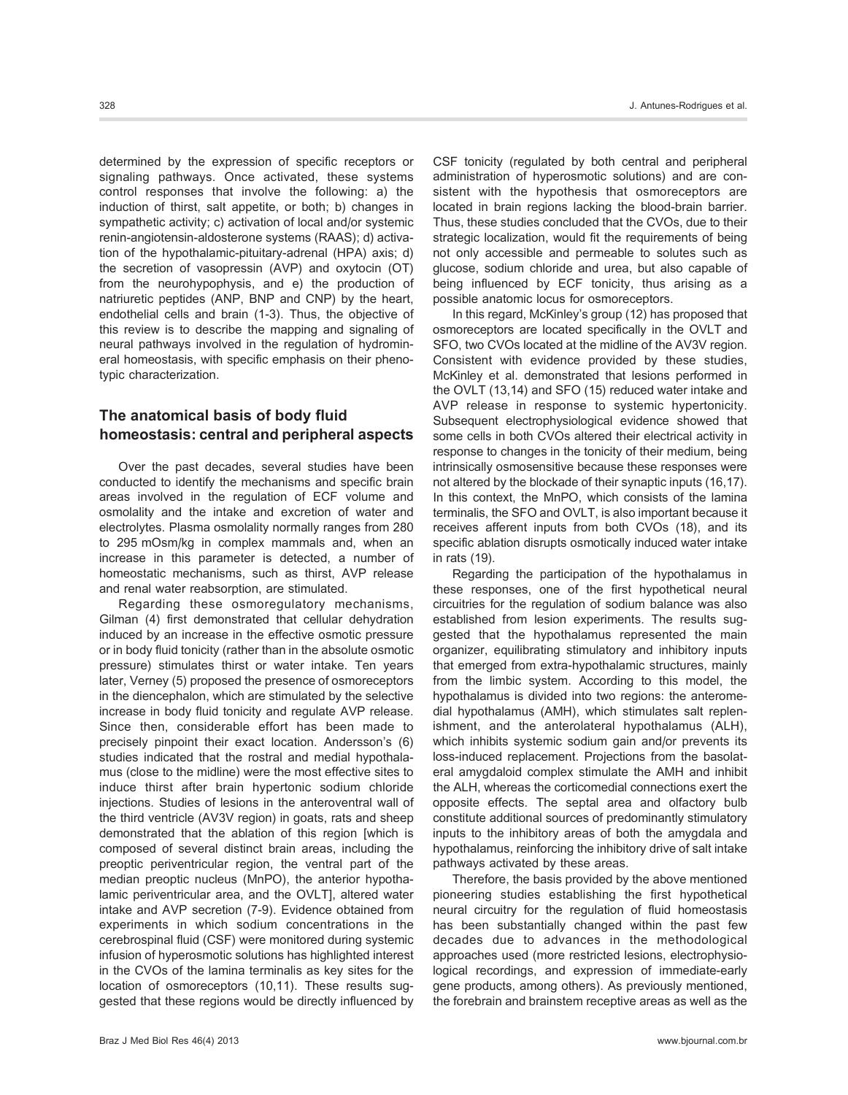typic characterization.

determined by the expression of specific receptors or signaling pathways. Once activated, these systems control responses that involve the following: a) the induction of thirst, salt appetite, or both; b) changes in sympathetic activity; c) activation of local and/or systemic renin-angiotensin-aldosterone systems (RAAS); d) activation of the hypothalamic-pituitary-adrenal (HPA) axis; d) the secretion of vasopressin (AVP) and oxytocin (OT) from the neurohypophysis, and e) the production of natriuretic peptides (ANP, BNP and CNP) by the heart, endothelial cells and brain (1-3). Thus, the objective of this review is to describe the mapping and signaling of neural pathways involved in the regulation of hydromineral homeostasis, with specific emphasis on their pheno-

# The anatomical basis of body fluid homeostasis: central and peripheral aspects

Over the past decades, several studies have been conducted to identify the mechanisms and specific brain areas involved in the regulation of ECF volume and osmolality and the intake and excretion of water and electrolytes. Plasma osmolality normally ranges from 280 to 295 mOsm/kg in complex mammals and, when an increase in this parameter is detected, a number of homeostatic mechanisms, such as thirst, AVP release and renal water reabsorption, are stimulated.

Regarding these osmoregulatory mechanisms, Gilman (4) first demonstrated that cellular dehydration induced by an increase in the effective osmotic pressure or in body fluid tonicity (rather than in the absolute osmotic pressure) stimulates thirst or water intake. Ten years later, Verney (5) proposed the presence of osmoreceptors in the diencephalon, which are stimulated by the selective increase in body fluid tonicity and regulate AVP release. Since then, considerable effort has been made to precisely pinpoint their exact location. Andersson's (6) studies indicated that the rostral and medial hypothalamus (close to the midline) were the most effective sites to induce thirst after brain hypertonic sodium chloride injections. Studies of lesions in the anteroventral wall of the third ventricle (AV3V region) in goats, rats and sheep demonstrated that the ablation of this region [which is composed of several distinct brain areas, including the preoptic periventricular region, the ventral part of the median preoptic nucleus (MnPO), the anterior hypothalamic periventricular area, and the OVLT], altered water intake and AVP secretion (7-9). Evidence obtained from experiments in which sodium concentrations in the cerebrospinal fluid (CSF) were monitored during systemic infusion of hyperosmotic solutions has highlighted interest in the CVOs of the lamina terminalis as key sites for the location of osmoreceptors (10,11). These results suggested that these regions would be directly influenced by

CSF tonicity (regulated by both central and peripheral administration of hyperosmotic solutions) and are consistent with the hypothesis that osmoreceptors are located in brain regions lacking the blood-brain barrier. Thus, these studies concluded that the CVOs, due to their strategic localization, would fit the requirements of being not only accessible and permeable to solutes such as glucose, sodium chloride and urea, but also capable of being influenced by ECF tonicity, thus arising as a possible anatomic locus for osmoreceptors.

In this regard, McKinley's group (12) has proposed that osmoreceptors are located specifically in the OVLT and SFO, two CVOs located at the midline of the AV3V region. Consistent with evidence provided by these studies, McKinley et al. demonstrated that lesions performed in the OVLT (13,14) and SFO (15) reduced water intake and AVP release in response to systemic hypertonicity. Subsequent electrophysiological evidence showed that some cells in both CVOs altered their electrical activity in response to changes in the tonicity of their medium, being intrinsically osmosensitive because these responses were not altered by the blockade of their synaptic inputs (16,17). In this context, the MnPO, which consists of the lamina terminalis, the SFO and OVLT, is also important because it receives afferent inputs from both CVOs (18), and its specific ablation disrupts osmotically induced water intake in rats (19).

Regarding the participation of the hypothalamus in these responses, one of the first hypothetical neural circuitries for the regulation of sodium balance was also established from lesion experiments. The results suggested that the hypothalamus represented the main organizer, equilibrating stimulatory and inhibitory inputs that emerged from extra-hypothalamic structures, mainly from the limbic system. According to this model, the hypothalamus is divided into two regions: the anteromedial hypothalamus (AMH), which stimulates salt replenishment, and the anterolateral hypothalamus (ALH), which inhibits systemic sodium gain and/or prevents its loss-induced replacement. Projections from the basolateral amygdaloid complex stimulate the AMH and inhibit the ALH, whereas the corticomedial connections exert the opposite effects. The septal area and olfactory bulb constitute additional sources of predominantly stimulatory inputs to the inhibitory areas of both the amygdala and hypothalamus, reinforcing the inhibitory drive of salt intake pathways activated by these areas.

Therefore, the basis provided by the above mentioned pioneering studies establishing the first hypothetical neural circuitry for the regulation of fluid homeostasis has been substantially changed within the past few decades due to advances in the methodological approaches used (more restricted lesions, electrophysiological recordings, and expression of immediate-early gene products, among others). As previously mentioned, the forebrain and brainstem receptive areas as well as the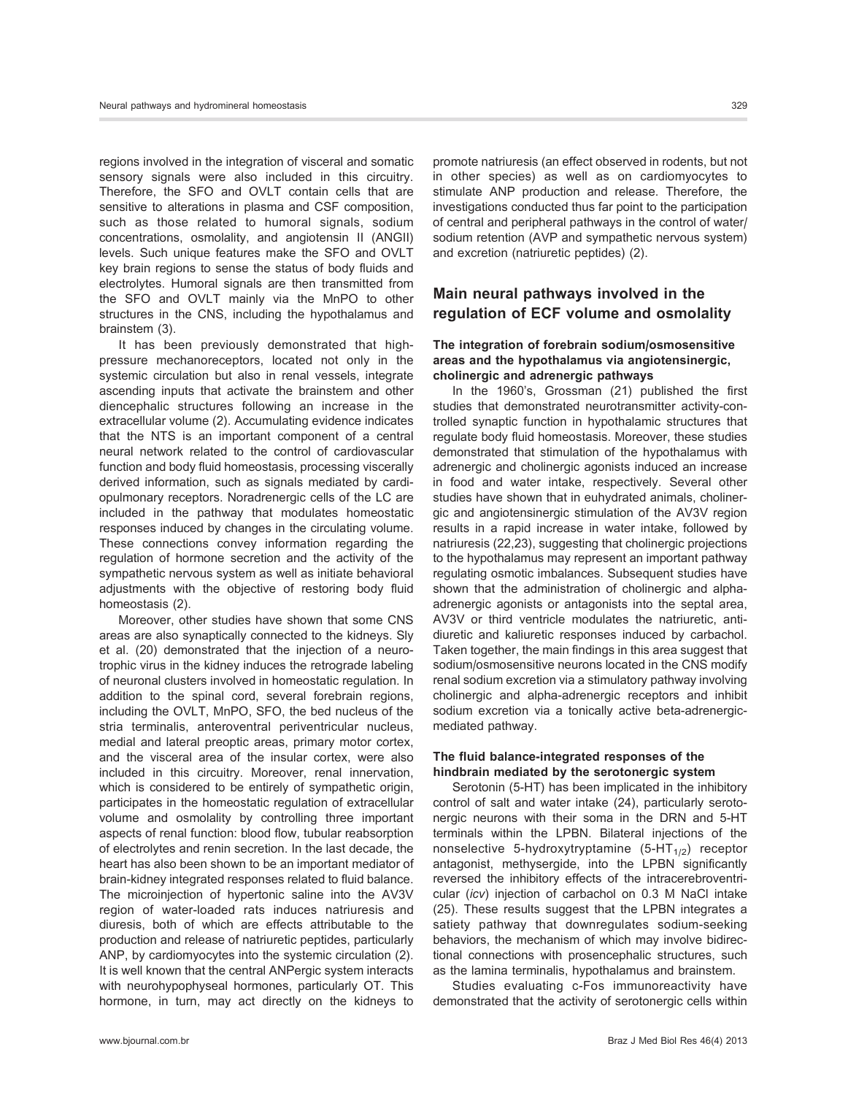regions involved in the integration of visceral and somatic sensory signals were also included in this circuitry. Therefore, the SFO and OVLT contain cells that are sensitive to alterations in plasma and CSF composition, such as those related to humoral signals, sodium concentrations, osmolality, and angiotensin II (ANGII) levels. Such unique features make the SFO and OVLT key brain regions to sense the status of body fluids and electrolytes. Humoral signals are then transmitted from the SFO and OVLT mainly via the MnPO to other structures in the CNS, including the hypothalamus and brainstem (3).

It has been previously demonstrated that highpressure mechanoreceptors, located not only in the systemic circulation but also in renal vessels, integrate ascending inputs that activate the brainstem and other diencephalic structures following an increase in the extracellular volume (2). Accumulating evidence indicates that the NTS is an important component of a central neural network related to the control of cardiovascular function and body fluid homeostasis, processing viscerally derived information, such as signals mediated by cardiopulmonary receptors. Noradrenergic cells of the LC are included in the pathway that modulates homeostatic responses induced by changes in the circulating volume. These connections convey information regarding the regulation of hormone secretion and the activity of the sympathetic nervous system as well as initiate behavioral adjustments with the objective of restoring body fluid homeostasis (2).

Moreover, other studies have shown that some CNS areas are also synaptically connected to the kidneys. Sly et al. (20) demonstrated that the injection of a neurotrophic virus in the kidney induces the retrograde labeling of neuronal clusters involved in homeostatic regulation. In addition to the spinal cord, several forebrain regions, including the OVLT, MnPO, SFO, the bed nucleus of the stria terminalis, anteroventral periventricular nucleus, medial and lateral preoptic areas, primary motor cortex, and the visceral area of the insular cortex, were also included in this circuitry. Moreover, renal innervation, which is considered to be entirely of sympathetic origin, participates in the homeostatic regulation of extracellular volume and osmolality by controlling three important aspects of renal function: blood flow, tubular reabsorption of electrolytes and renin secretion. In the last decade, the heart has also been shown to be an important mediator of brain-kidney integrated responses related to fluid balance. The microinjection of hypertonic saline into the AV3V region of water-loaded rats induces natriuresis and diuresis, both of which are effects attributable to the production and release of natriuretic peptides, particularly ANP, by cardiomyocytes into the systemic circulation (2). It is well known that the central ANPergic system interacts with neurohypophyseal hormones, particularly OT. This hormone, in turn, may act directly on the kidneys to promote natriuresis (an effect observed in rodents, but not in other species) as well as on cardiomyocytes to stimulate ANP production and release. Therefore, the investigations conducted thus far point to the participation of central and peripheral pathways in the control of water/ sodium retention (AVP and sympathetic nervous system) and excretion (natriuretic peptides) (2).

## Main neural pathways involved in the regulation of ECF volume and osmolality

#### The integration of forebrain sodium/osmosensitive areas and the hypothalamus via angiotensinergic, cholinergic and adrenergic pathways

In the 1960's, Grossman (21) published the first studies that demonstrated neurotransmitter activity-controlled synaptic function in hypothalamic structures that regulate body fluid homeostasis. Moreover, these studies demonstrated that stimulation of the hypothalamus with adrenergic and cholinergic agonists induced an increase in food and water intake, respectively. Several other studies have shown that in euhydrated animals, cholinergic and angiotensinergic stimulation of the AV3V region results in a rapid increase in water intake, followed by natriuresis (22,23), suggesting that cholinergic projections to the hypothalamus may represent an important pathway regulating osmotic imbalances. Subsequent studies have shown that the administration of cholinergic and alphaadrenergic agonists or antagonists into the septal area, AV3V or third ventricle modulates the natriuretic, antidiuretic and kaliuretic responses induced by carbachol. Taken together, the main findings in this area suggest that sodium/osmosensitive neurons located in the CNS modify renal sodium excretion via a stimulatory pathway involving cholinergic and alpha-adrenergic receptors and inhibit sodium excretion via a tonically active beta-adrenergicmediated pathway.

#### The fluid balance-integrated responses of the hindbrain mediated by the serotonergic system

Serotonin (5-HT) has been implicated in the inhibitory control of salt and water intake (24), particularly serotonergic neurons with their soma in the DRN and 5-HT terminals within the LPBN. Bilateral injections of the nonselective 5-hydroxytryptamine  $(5-HT<sub>1/2</sub>)$  receptor antagonist, methysergide, into the LPBN significantly reversed the inhibitory effects of the intracerebroventricular (icv) injection of carbachol on 0.3 M NaCl intake (25). These results suggest that the LPBN integrates a satiety pathway that downregulates sodium-seeking behaviors, the mechanism of which may involve bidirectional connections with prosencephalic structures, such as the lamina terminalis, hypothalamus and brainstem.

Studies evaluating c-Fos immunoreactivity have demonstrated that the activity of serotonergic cells within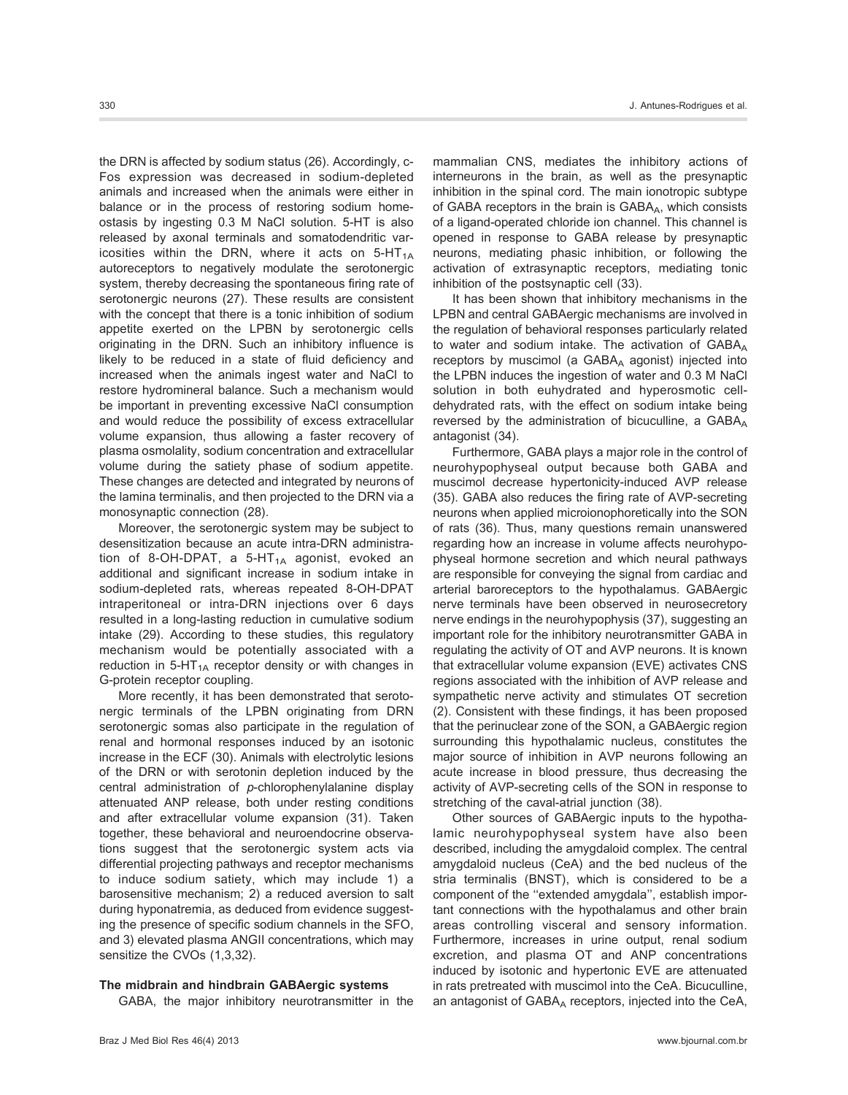the DRN is affected by sodium status (26). Accordingly, c-Fos expression was decreased in sodium-depleted animals and increased when the animals were either in balance or in the process of restoring sodium homeostasis by ingesting 0.3 M NaCl solution. 5-HT is also released by axonal terminals and somatodendritic varicosities within the DRN, where it acts on  $5-HT_{1A}$ autoreceptors to negatively modulate the serotonergic system, thereby decreasing the spontaneous firing rate of serotonergic neurons (27). These results are consistent with the concept that there is a tonic inhibition of sodium appetite exerted on the LPBN by serotonergic cells originating in the DRN. Such an inhibitory influence is likely to be reduced in a state of fluid deficiency and increased when the animals ingest water and NaCl to restore hydromineral balance. Such a mechanism would be important in preventing excessive NaCl consumption and would reduce the possibility of excess extracellular volume expansion, thus allowing a faster recovery of plasma osmolality, sodium concentration and extracellular volume during the satiety phase of sodium appetite. These changes are detected and integrated by neurons of the lamina terminalis, and then projected to the DRN via a monosynaptic connection (28).

Moreover, the serotonergic system may be subject to desensitization because an acute intra-DRN administration of 8-OH-DPAT, a 5-HT $_{1A}$  agonist, evoked an additional and significant increase in sodium intake in sodium-depleted rats, whereas repeated 8-OH-DPAT intraperitoneal or intra-DRN injections over 6 days resulted in a long-lasting reduction in cumulative sodium intake (29). According to these studies, this regulatory mechanism would be potentially associated with a reduction in  $5-HT_{1A}$  receptor density or with changes in G-protein receptor coupling.

More recently, it has been demonstrated that serotonergic terminals of the LPBN originating from DRN serotonergic somas also participate in the regulation of renal and hormonal responses induced by an isotonic increase in the ECF (30). Animals with electrolytic lesions of the DRN or with serotonin depletion induced by the central administration of p-chlorophenylalanine display attenuated ANP release, both under resting conditions and after extracellular volume expansion (31). Taken together, these behavioral and neuroendocrine observations suggest that the serotonergic system acts via differential projecting pathways and receptor mechanisms to induce sodium satiety, which may include 1) a barosensitive mechanism; 2) a reduced aversion to salt during hyponatremia, as deduced from evidence suggesting the presence of specific sodium channels in the SFO, and 3) elevated plasma ANGII concentrations, which may sensitize the CVOs (1,3,32).

#### The midbrain and hindbrain GABAergic systems

GABA, the major inhibitory neurotransmitter in the

mammalian CNS, mediates the inhibitory actions of interneurons in the brain, as well as the presynaptic inhibition in the spinal cord. The main ionotropic subtype of GABA receptors in the brain is  $GABA_A$ , which consists of a ligand-operated chloride ion channel. This channel is opened in response to GABA release by presynaptic neurons, mediating phasic inhibition, or following the activation of extrasynaptic receptors, mediating tonic inhibition of the postsynaptic cell (33).

It has been shown that inhibitory mechanisms in the LPBN and central GABAergic mechanisms are involved in the regulation of behavioral responses particularly related to water and sodium intake. The activation of  $GABA_A$ receptors by muscimol (a GABAA agonist) injected into the LPBN induces the ingestion of water and 0.3 M NaCl solution in both euhydrated and hyperosmotic celldehydrated rats, with the effect on sodium intake being reversed by the administration of bicuculline, a GABAA antagonist (34).

Furthermore, GABA plays a major role in the control of neurohypophyseal output because both GABA and muscimol decrease hypertonicity-induced AVP release (35). GABA also reduces the firing rate of AVP-secreting neurons when applied microionophoretically into the SON of rats (36). Thus, many questions remain unanswered regarding how an increase in volume affects neurohypophyseal hormone secretion and which neural pathways are responsible for conveying the signal from cardiac and arterial baroreceptors to the hypothalamus. GABAergic nerve terminals have been observed in neurosecretory nerve endings in the neurohypophysis (37), suggesting an important role for the inhibitory neurotransmitter GABA in regulating the activity of OT and AVP neurons. It is known that extracellular volume expansion (EVE) activates CNS regions associated with the inhibition of AVP release and sympathetic nerve activity and stimulates OT secretion (2). Consistent with these findings, it has been proposed that the perinuclear zone of the SON, a GABAergic region surrounding this hypothalamic nucleus, constitutes the major source of inhibition in AVP neurons following an acute increase in blood pressure, thus decreasing the activity of AVP-secreting cells of the SON in response to stretching of the caval-atrial junction (38).

Other sources of GABAergic inputs to the hypothalamic neurohypophyseal system have also been described, including the amygdaloid complex. The central amygdaloid nucleus (CeA) and the bed nucleus of the stria terminalis (BNST), which is considered to be a component of the ''extended amygdala'', establish important connections with the hypothalamus and other brain areas controlling visceral and sensory information. Furthermore, increases in urine output, renal sodium excretion, and plasma OT and ANP concentrations induced by isotonic and hypertonic EVE are attenuated in rats pretreated with muscimol into the CeA. Bicuculline, an antagonist of  $GABA_A$  receptors, injected into the CeA,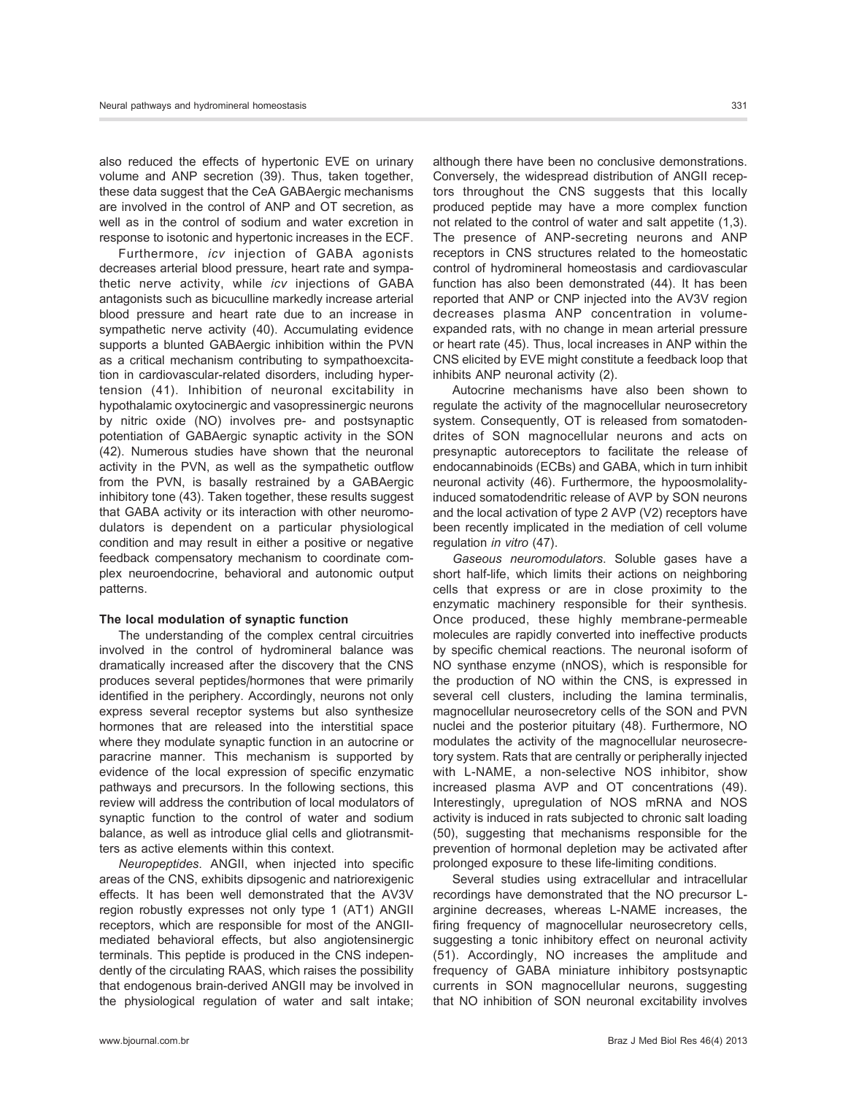also reduced the effects of hypertonic EVE on urinary volume and ANP secretion (39). Thus, taken together, these data suggest that the CeA GABAergic mechanisms are involved in the control of ANP and OT secretion, as well as in the control of sodium and water excretion in response to isotonic and hypertonic increases in the ECF.

Furthermore, icv injection of GABA agonists decreases arterial blood pressure, heart rate and sympathetic nerve activity, while icv injections of GABA antagonists such as bicuculline markedly increase arterial blood pressure and heart rate due to an increase in sympathetic nerve activity (40). Accumulating evidence supports a blunted GABAergic inhibition within the PVN as a critical mechanism contributing to sympathoexcitation in cardiovascular-related disorders, including hypertension (41). Inhibition of neuronal excitability in hypothalamic oxytocinergic and vasopressinergic neurons by nitric oxide (NO) involves pre- and postsynaptic potentiation of GABAergic synaptic activity in the SON (42). Numerous studies have shown that the neuronal activity in the PVN, as well as the sympathetic outflow from the PVN, is basally restrained by a GABAergic inhibitory tone (43). Taken together, these results suggest that GABA activity or its interaction with other neuromodulators is dependent on a particular physiological condition and may result in either a positive or negative feedback compensatory mechanism to coordinate complex neuroendocrine, behavioral and autonomic output patterns.

#### The local modulation of synaptic function

The understanding of the complex central circuitries involved in the control of hydromineral balance was dramatically increased after the discovery that the CNS produces several peptides/hormones that were primarily identified in the periphery. Accordingly, neurons not only express several receptor systems but also synthesize hormones that are released into the interstitial space where they modulate synaptic function in an autocrine or paracrine manner. This mechanism is supported by evidence of the local expression of specific enzymatic pathways and precursors. In the following sections, this review will address the contribution of local modulators of synaptic function to the control of water and sodium balance, as well as introduce glial cells and gliotransmitters as active elements within this context.

Neuropeptides. ANGII, when injected into specific areas of the CNS, exhibits dipsogenic and natriorexigenic effects. It has been well demonstrated that the AV3V region robustly expresses not only type 1 (AT1) ANGII receptors, which are responsible for most of the ANGIImediated behavioral effects, but also angiotensinergic terminals. This peptide is produced in the CNS independently of the circulating RAAS, which raises the possibility that endogenous brain-derived ANGII may be involved in the physiological regulation of water and salt intake; although there have been no conclusive demonstrations. Conversely, the widespread distribution of ANGII receptors throughout the CNS suggests that this locally produced peptide may have a more complex function not related to the control of water and salt appetite (1,3). The presence of ANP-secreting neurons and ANP receptors in CNS structures related to the homeostatic control of hydromineral homeostasis and cardiovascular function has also been demonstrated (44). It has been reported that ANP or CNP injected into the AV3V region decreases plasma ANP concentration in volumeexpanded rats, with no change in mean arterial pressure or heart rate (45). Thus, local increases in ANP within the CNS elicited by EVE might constitute a feedback loop that inhibits ANP neuronal activity (2).

Autocrine mechanisms have also been shown to regulate the activity of the magnocellular neurosecretory system. Consequently, OT is released from somatodendrites of SON magnocellular neurons and acts on presynaptic autoreceptors to facilitate the release of endocannabinoids (ECBs) and GABA, which in turn inhibit neuronal activity (46). Furthermore, the hypoosmolalityinduced somatodendritic release of AVP by SON neurons and the local activation of type 2 AVP (V2) receptors have been recently implicated in the mediation of cell volume regulation in vitro (47).

Gaseous neuromodulators. Soluble gases have a short half-life, which limits their actions on neighboring cells that express or are in close proximity to the enzymatic machinery responsible for their synthesis. Once produced, these highly membrane-permeable molecules are rapidly converted into ineffective products by specific chemical reactions. The neuronal isoform of NO synthase enzyme (nNOS), which is responsible for the production of NO within the CNS, is expressed in several cell clusters, including the lamina terminalis, magnocellular neurosecretory cells of the SON and PVN nuclei and the posterior pituitary (48). Furthermore, NO modulates the activity of the magnocellular neurosecretory system. Rats that are centrally or peripherally injected with L-NAME, a non-selective NOS inhibitor, show increased plasma AVP and OT concentrations (49). Interestingly, upregulation of NOS mRNA and NOS activity is induced in rats subjected to chronic salt loading (50), suggesting that mechanisms responsible for the prevention of hormonal depletion may be activated after prolonged exposure to these life-limiting conditions.

Several studies using extracellular and intracellular recordings have demonstrated that the NO precursor Larginine decreases, whereas L-NAME increases, the firing frequency of magnocellular neurosecretory cells, suggesting a tonic inhibitory effect on neuronal activity (51). Accordingly, NO increases the amplitude and frequency of GABA miniature inhibitory postsynaptic currents in SON magnocellular neurons, suggesting that NO inhibition of SON neuronal excitability involves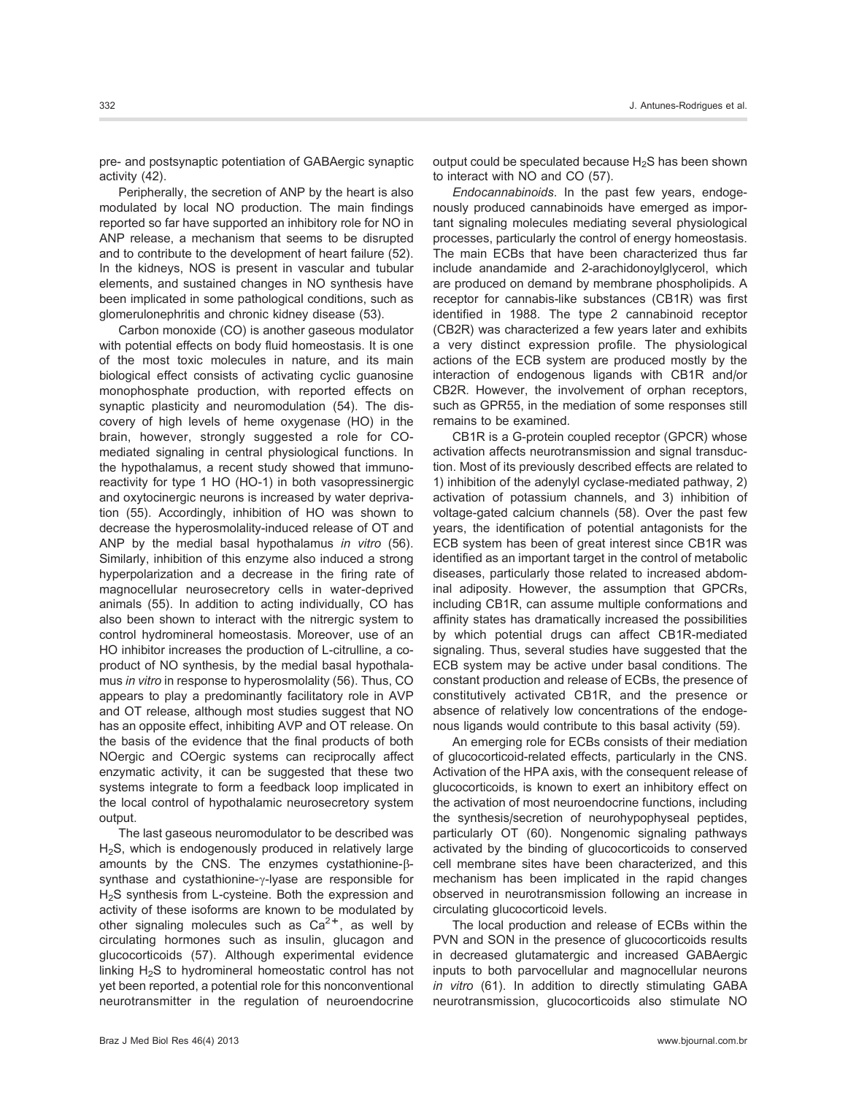pre- and postsynaptic potentiation of GABAergic synaptic activity (42).

Peripherally, the secretion of ANP by the heart is also modulated by local NO production. The main findings reported so far have supported an inhibitory role for NO in ANP release, a mechanism that seems to be disrupted and to contribute to the development of heart failure (52). In the kidneys, NOS is present in vascular and tubular elements, and sustained changes in NO synthesis have been implicated in some pathological conditions, such as glomerulonephritis and chronic kidney disease (53).

Carbon monoxide (CO) is another gaseous modulator with potential effects on body fluid homeostasis. It is one of the most toxic molecules in nature, and its main biological effect consists of activating cyclic guanosine monophosphate production, with reported effects on synaptic plasticity and neuromodulation (54). The discovery of high levels of heme oxygenase (HO) in the brain, however, strongly suggested a role for COmediated signaling in central physiological functions. In the hypothalamus, a recent study showed that immunoreactivity for type 1 HO (HO-1) in both vasopressinergic and oxytocinergic neurons is increased by water deprivation (55). Accordingly, inhibition of HO was shown to decrease the hyperosmolality-induced release of OT and ANP by the medial basal hypothalamus in vitro (56). Similarly, inhibition of this enzyme also induced a strong hyperpolarization and a decrease in the firing rate of magnocellular neurosecretory cells in water-deprived animals (55). In addition to acting individually, CO has also been shown to interact with the nitrergic system to control hydromineral homeostasis. Moreover, use of an HO inhibitor increases the production of L-citrulline, a coproduct of NO synthesis, by the medial basal hypothalamus in vitro in response to hyperosmolality (56). Thus, CO appears to play a predominantly facilitatory role in AVP and OT release, although most studies suggest that NO has an opposite effect, inhibiting AVP and OT release. On the basis of the evidence that the final products of both NOergic and COergic systems can reciprocally affect enzymatic activity, it can be suggested that these two systems integrate to form a feedback loop implicated in the local control of hypothalamic neurosecretory system output.

The last gaseous neuromodulator to be described was H<sub>2</sub>S, which is endogenously produced in relatively large amounts by the CNS. The enzymes cystathionine- $\beta$ synthase and cystathionine- $\gamma$ -lyase are responsible for H<sub>2</sub>S synthesis from L-cysteine. Both the expression and activity of these isoforms are known to be modulated by other signaling molecules such as  $Ca^{2+}$ , as well by circulating hormones such as insulin, glucagon and glucocorticoids (57). Although experimental evidence linking  $H<sub>2</sub>S$  to hydromineral homeostatic control has not yet been reported, a potential role for this nonconventional neurotransmitter in the regulation of neuroendocrine output could be speculated because  $H_2S$  has been shown to interact with NO and CO (57).

Endocannabinoids. In the past few years, endogenously produced cannabinoids have emerged as important signaling molecules mediating several physiological processes, particularly the control of energy homeostasis. The main ECBs that have been characterized thus far include anandamide and 2-arachidonoylglycerol, which are produced on demand by membrane phospholipids. A receptor for cannabis-like substances (CB1R) was first identified in 1988. The type 2 cannabinoid receptor (CB2R) was characterized a few years later and exhibits a very distinct expression profile. The physiological actions of the ECB system are produced mostly by the interaction of endogenous ligands with CB1R and/or CB2R. However, the involvement of orphan receptors, such as GPR55, in the mediation of some responses still remains to be examined.

CB1R is a G-protein coupled receptor (GPCR) whose activation affects neurotransmission and signal transduction. Most of its previously described effects are related to 1) inhibition of the adenylyl cyclase-mediated pathway, 2) activation of potassium channels, and 3) inhibition of voltage-gated calcium channels (58). Over the past few years, the identification of potential antagonists for the ECB system has been of great interest since CB1R was identified as an important target in the control of metabolic diseases, particularly those related to increased abdominal adiposity. However, the assumption that GPCRs, including CB1R, can assume multiple conformations and affinity states has dramatically increased the possibilities by which potential drugs can affect CB1R-mediated signaling. Thus, several studies have suggested that the ECB system may be active under basal conditions. The constant production and release of ECBs, the presence of constitutively activated CB1R, and the presence or absence of relatively low concentrations of the endogenous ligands would contribute to this basal activity (59).

An emerging role for ECBs consists of their mediation of glucocorticoid-related effects, particularly in the CNS. Activation of the HPA axis, with the consequent release of glucocorticoids, is known to exert an inhibitory effect on the activation of most neuroendocrine functions, including the synthesis/secretion of neurohypophyseal peptides, particularly OT (60). Nongenomic signaling pathways activated by the binding of glucocorticoids to conserved cell membrane sites have been characterized, and this mechanism has been implicated in the rapid changes observed in neurotransmission following an increase in circulating glucocorticoid levels.

The local production and release of ECBs within the PVN and SON in the presence of glucocorticoids results in decreased glutamatergic and increased GABAergic inputs to both parvocellular and magnocellular neurons in vitro (61). In addition to directly stimulating GABA neurotransmission, glucocorticoids also stimulate NO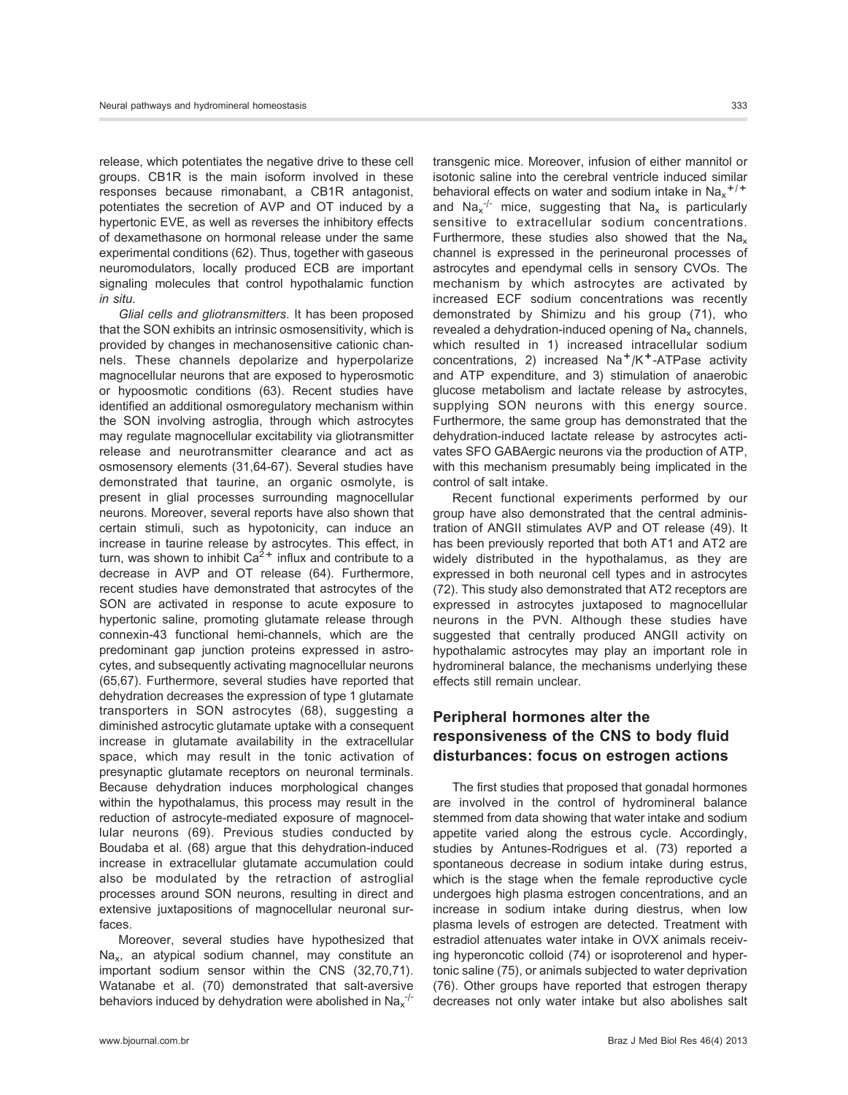release, which potentiates the negative drive to these cell groups. CB1R is the main isoform involved in these responses because rimonabant, a CB1R antagonist, potentiates the secretion of AVP and OT induced by a hypertonic EVE, as well as reverses the inhibitory effects of dexamethasone on hormonal release under the same experimental conditions (62). Thus, together with gaseous neuromodulators, locally produced ECB are important signaling molecules that control hypothalamic function in situ.

Glial cells and gliotransmitters. It has been proposed that the SON exhibits an intrinsic osmosensitivity, which is provided by changes in mechanosensitive cationic channels. These channels depolarize and hyperpolarize magnocellular neurons that are exposed to hyperosmotic or hypoosmotic conditions (63). Recent studies have identified an additional osmoregulatory mechanism within the SON involving astroglia, through which astrocytes may regulate magnocellular excitability via gliotransmitter release and neurotransmitter clearance and act as osmosensory elements (31,64-67). Several studies have demonstrated that taurine, an organic osmolyte, is present in glial processes surrounding magnocellular neurons. Moreover, several reports have also shown that certain stimuli, such as hypotonicity, can induce an increase in taurine release by astrocytes. This effect, in turn, was shown to inhibit  $Ca<sup>2+</sup>$  influx and contribute to a decrease in AVP and OT release (64). Furthermore, recent studies have demonstrated that astrocytes of the SON are activated in response to acute exposure to hypertonic saline, promoting glutamate release through connexin-43 functional hemi-channels, which are the predominant gap junction proteins expressed in astrocytes, and subsequently activating magnocellular neurons (65,67). Furthermore, several studies have reported that dehydration decreases the expression of type 1 glutamate transporters in SON astrocytes (68), suggesting a diminished astrocytic glutamate uptake with a consequent increase in glutamate availability in the extracellular space, which may result in the tonic activation of presynaptic glutamate receptors on neuronal terminals. Because dehydration induces morphological changes within the hypothalamus, this process may result in the reduction of astrocyte-mediated exposure of magnocellular neurons (69). Previous studies conducted by Boudaba et al. (68) argue that this dehydration-induced increase in extracellular glutamate accumulation could also be modulated by the retraction of astroglial processes around SON neurons, resulting in direct and extensive juxtapositions of magnocellular neuronal surfaces.

Moreover, several studies have hypothesized that Nax, an atypical sodium channel, may constitute an important sodium sensor within the CNS (32,70,71). Watanabe et al. (70) demonstrated that salt-aversive behaviors induced by dehydration were abolished in Na $_\mathrm{x}^{-/-}$ 

transgenic mice. Moreover, infusion of either mannitol or isotonic saline into the cerebral ventricle induced similar behavioral effects on water and sodium intake in  $\text{Na}_{x}$ <sup>+/+</sup> and  $\text{Na}_x^{-/-}$  mice, suggesting that  $\text{Na}_x$  is particularly sensitive to extracellular sodium concentrations. Furthermore, these studies also showed that the Na $\overline{z}$ channel is expressed in the perineuronal processes of astrocytes and ependymal cells in sensory CVOs. The mechanism by which astrocytes are activated by increased ECF sodium concentrations was recently demonstrated by Shimizu and his group (71), who revealed a dehydration-induced opening of  $Na<sub>x</sub>$  channels, which resulted in 1) increased intracellular sodium concentrations, 2) increased  $Na<sup>+</sup>/K<sup>+</sup>$ -ATPase activity and ATP expenditure, and 3) stimulation of anaerobic glucose metabolism and lactate release by astrocytes, supplying SON neurons with this energy source. Furthermore, the same group has demonstrated that the dehydration-induced lactate release by astrocytes activates SFO GABAergic neurons via the production of ATP, with this mechanism presumably being implicated in the control of salt intake.

Recent functional experiments performed by our group have also demonstrated that the central administration of ANGII stimulates AVP and OT release (49). It has been previously reported that both AT1 and AT2 are widely distributed in the hypothalamus, as they are expressed in both neuronal cell types and in astrocytes (72). This study also demonstrated that AT2 receptors are expressed in astrocytes juxtaposed to magnocellular neurons in the PVN. Although these studies have suggested that centrally produced ANGII activity on hypothalamic astrocytes may play an important role in hydromineral balance, the mechanisms underlying these effects still remain unclear.

# Peripheral hormones alter the responsiveness of the CNS to body fluid disturbances: focus on estrogen actions

The first studies that proposed that gonadal hormones are involved in the control of hydromineral balance stemmed from data showing that water intake and sodium appetite varied along the estrous cycle. Accordingly, studies by Antunes-Rodrigues et al. (73) reported a spontaneous decrease in sodium intake during estrus, which is the stage when the female reproductive cycle undergoes high plasma estrogen concentrations, and an increase in sodium intake during diestrus, when low plasma levels of estrogen are detected. Treatment with estradiol attenuates water intake in OVX animals receiving hyperoncotic colloid (74) or isoproterenol and hypertonic saline (75), or animals subjected to water deprivation (76). Other groups have reported that estrogen therapy decreases not only water intake but also abolishes salt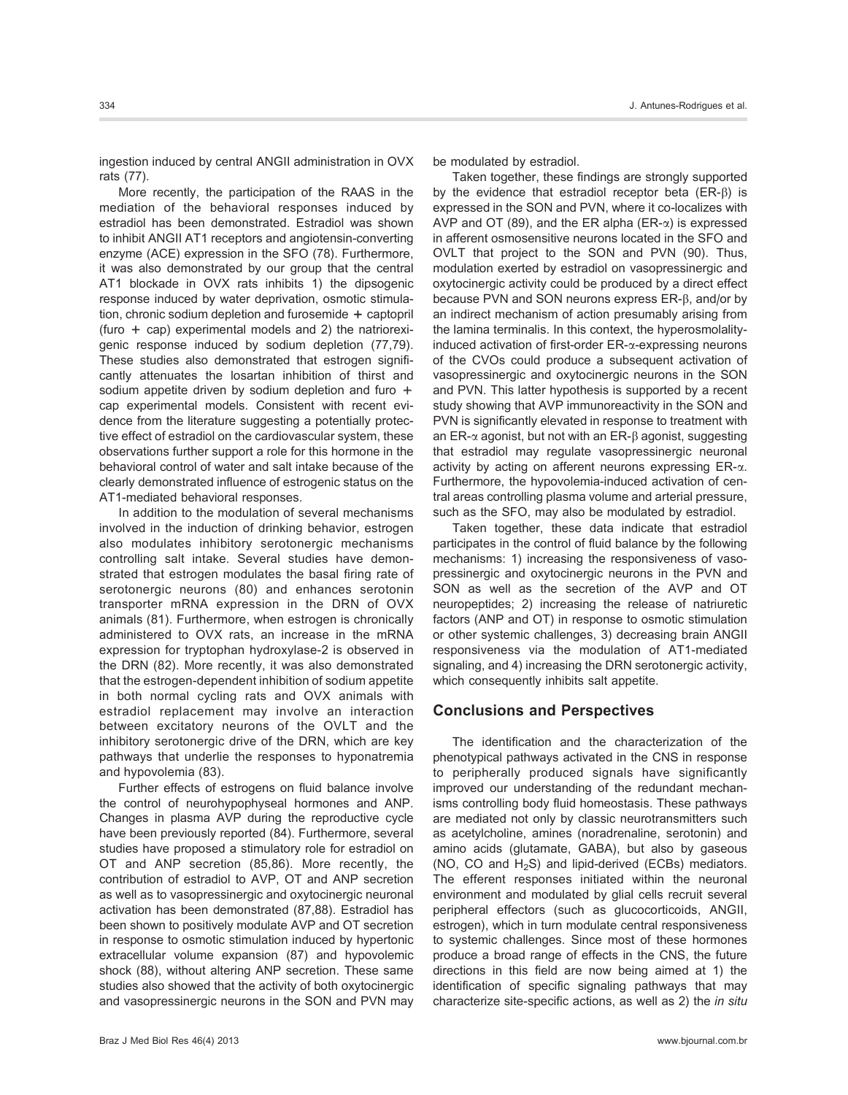ingestion induced by central ANGII administration in OVX rats (77).

More recently, the participation of the RAAS in the mediation of the behavioral responses induced by estradiol has been demonstrated. Estradiol was shown to inhibit ANGII AT1 receptors and angiotensin-converting enzyme (ACE) expression in the SFO (78). Furthermore, it was also demonstrated by our group that the central AT1 blockade in OVX rats inhibits 1) the dipsogenic response induced by water deprivation, osmotic stimulation, chronic sodium depletion and furosemide + captopril (furo  $+$  cap) experimental models and 2) the natriorexigenic response induced by sodium depletion (77,79). These studies also demonstrated that estrogen significantly attenuates the losartan inhibition of thirst and sodium appetite driven by sodium depletion and furo + cap experimental models. Consistent with recent evidence from the literature suggesting a potentially protective effect of estradiol on the cardiovascular system, these observations further support a role for this hormone in the behavioral control of water and salt intake because of the clearly demonstrated influence of estrogenic status on the AT1-mediated behavioral responses.

In addition to the modulation of several mechanisms involved in the induction of drinking behavior, estrogen also modulates inhibitory serotonergic mechanisms controlling salt intake. Several studies have demonstrated that estrogen modulates the basal firing rate of serotonergic neurons (80) and enhances serotonin transporter mRNA expression in the DRN of OVX animals (81). Furthermore, when estrogen is chronically administered to OVX rats, an increase in the mRNA expression for tryptophan hydroxylase-2 is observed in the DRN (82). More recently, it was also demonstrated that the estrogen-dependent inhibition of sodium appetite in both normal cycling rats and OVX animals with estradiol replacement may involve an interaction between excitatory neurons of the OVLT and the inhibitory serotonergic drive of the DRN, which are key pathways that underlie the responses to hyponatremia and hypovolemia (83).

Further effects of estrogens on fluid balance involve the control of neurohypophyseal hormones and ANP. Changes in plasma AVP during the reproductive cycle have been previously reported (84). Furthermore, several studies have proposed a stimulatory role for estradiol on OT and ANP secretion (85,86). More recently, the contribution of estradiol to AVP, OT and ANP secretion as well as to vasopressinergic and oxytocinergic neuronal activation has been demonstrated (87,88). Estradiol has been shown to positively modulate AVP and OT secretion in response to osmotic stimulation induced by hypertonic extracellular volume expansion (87) and hypovolemic shock (88), without altering ANP secretion. These same studies also showed that the activity of both oxytocinergic and vasopressinergic neurons in the SON and PVN may be modulated by estradiol.

Taken together, these findings are strongly supported by the evidence that estradiol receptor beta  $(ER-\beta)$  is expressed in the SON and PVN, where it co-localizes with AVP and OT (89), and the ER alpha (ER- $\alpha$ ) is expressed in afferent osmosensitive neurons located in the SFO and OVLT that project to the SON and PVN (90). Thus, modulation exerted by estradiol on vasopressinergic and oxytocinergic activity could be produced by a direct effect because PVN and SON neurons express ER- $\beta$ , and/or by an indirect mechanism of action presumably arising from the lamina terminalis. In this context, the hyperosmolalityinduced activation of first-order ER-a-expressing neurons of the CVOs could produce a subsequent activation of vasopressinergic and oxytocinergic neurons in the SON and PVN. This latter hypothesis is supported by a recent study showing that AVP immunoreactivity in the SON and PVN is significantly elevated in response to treatment with an ER- $\alpha$  agonist, but not with an ER- $\beta$  agonist, suggesting that estradiol may regulate vasopressinergic neuronal activity by acting on afferent neurons expressing  $ER-\alpha$ . Furthermore, the hypovolemia-induced activation of central areas controlling plasma volume and arterial pressure, such as the SFO, may also be modulated by estradiol.

Taken together, these data indicate that estradiol participates in the control of fluid balance by the following mechanisms: 1) increasing the responsiveness of vasopressinergic and oxytocinergic neurons in the PVN and SON as well as the secretion of the AVP and OT neuropeptides; 2) increasing the release of natriuretic factors (ANP and OT) in response to osmotic stimulation or other systemic challenges, 3) decreasing brain ANGII responsiveness via the modulation of AT1-mediated signaling, and 4) increasing the DRN serotonergic activity, which consequently inhibits salt appetite.

## Conclusions and Perspectives

The identification and the characterization of the phenotypical pathways activated in the CNS in response to peripherally produced signals have significantly improved our understanding of the redundant mechanisms controlling body fluid homeostasis. These pathways are mediated not only by classic neurotransmitters such as acetylcholine, amines (noradrenaline, serotonin) and amino acids (glutamate, GABA), but also by gaseous (NO, CO and  $H_2S$ ) and lipid-derived (ECBs) mediators. The efferent responses initiated within the neuronal environment and modulated by glial cells recruit several peripheral effectors (such as glucocorticoids, ANGII, estrogen), which in turn modulate central responsiveness to systemic challenges. Since most of these hormones produce a broad range of effects in the CNS, the future directions in this field are now being aimed at 1) the identification of specific signaling pathways that may characterize site-specific actions, as well as 2) the in situ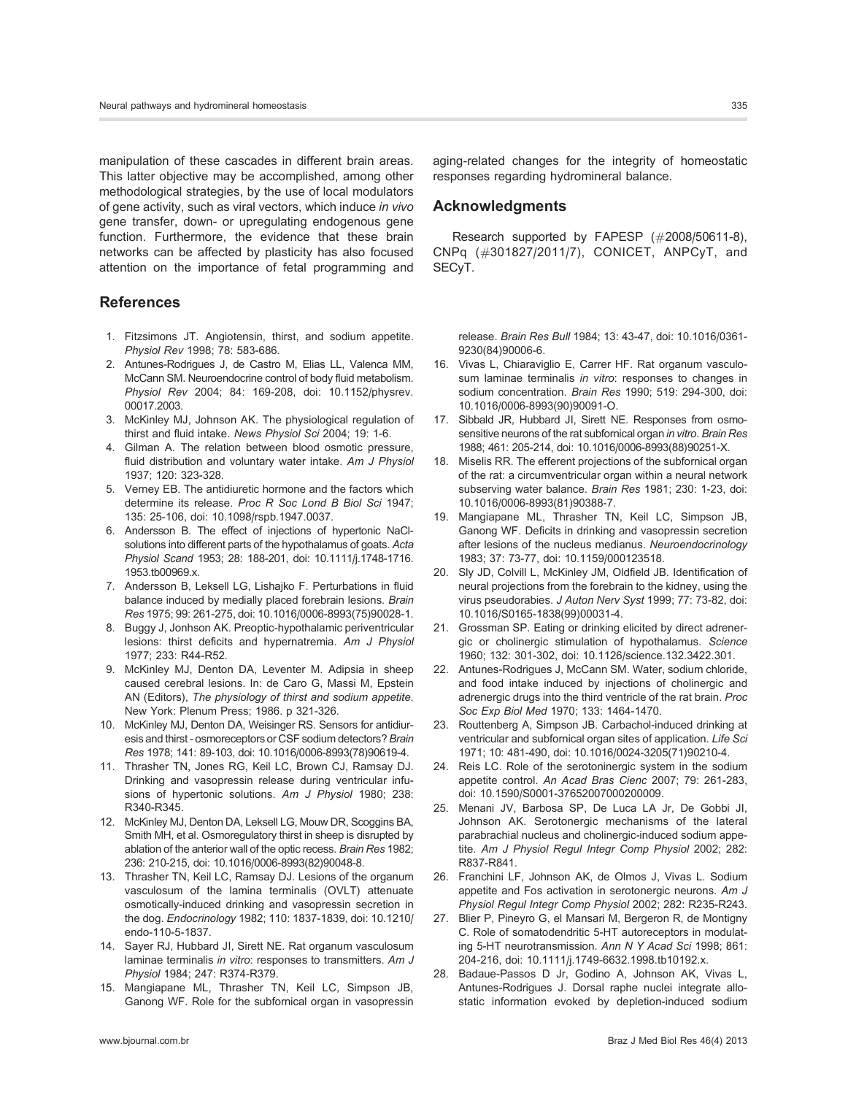manipulation of these cascades in different brain areas. This latter objective may be accomplished, among other methodological strategies, by the use of local modulators of gene activity, such as viral vectors, which induce in vivo gene transfer, down- or upregulating endogenous gene function. Furthermore, the evidence that these brain networks can be affected by plasticity has also focused attention on the importance of fetal programming and

## References

- 1. Fitzsimons JT. Angiotensin, thirst, and sodium appetite. Physiol Rev 1998; 78: 583-686.
- 2. Antunes-Rodrigues J, de Castro M, Elias LL, Valenca MM, McCann SM. Neuroendocrine control of body fluid metabolism. Physiol Rev 2004; 84: 169-208, doi: [10.1152/physrev.](http://dx.doi.org/10.1152%2Fphysrev.00017.2003) [00017.2003.](http://dx.doi.org/10.1152%2Fphysrev.00017.2003)
- 3. McKinley MJ, Johnson AK. The physiological regulation of thirst and fluid intake. News Physiol Sci 2004; 19: 1-6.
- 4. Gilman A. The relation between blood osmotic pressure, fluid distribution and voluntary water intake. Am J Physiol 1937; 120: 323-328.
- 5. Verney EB. The antidiuretic hormone and the factors which determine its release. Proc R Soc Lond B Biol Sci 1947; 135: 25-106, doi: [10.1098/rspb.1947.0037.](http://dx.doi.org/10.1098%2Frspb.1947.0037)
- 6. Andersson B. The effect of injections of hypertonic NaClsolutions into different parts of the hypothalamus of goats. Acta Physiol Scand 1953; 28: 188-201, doi: [10.1111/j.1748-1716.](http://dx.doi.org/10.1111%2Fj.1748-1716.1953.tb00969.x) [1953.tb00969.x.](http://dx.doi.org/10.1111%2Fj.1748-1716.1953.tb00969.x)
- 7. Andersson B, Leksell LG, Lishajko F. Perturbations in fluid balance induced by medially placed forebrain lesions. Brain Res 1975; 99: 261-275, doi: [10.1016/0006-8993\(75\)90028-1.](http://dx.doi.org/10.1016%2F0006-8993%2875%2990028-1)
- 8. Buggy J, Jonhson AK. Preoptic-hypothalamic periventricular lesions: thirst deficits and hypernatremia. Am J Physiol 1977; 233: R44-R52.
- 9. McKinley MJ, Denton DA, Leventer M. Adipsia in sheep caused cerebral lesions. In: de Caro G, Massi M, Epstein AN (Editors), The physiology of thirst and sodium appetite. New York: Plenum Press; 1986. p 321-326.
- 10. McKinley MJ, Denton DA, Weisinger RS. Sensors for antidiuresis and thirst - osmoreceptors or CSF sodium detectors? Brain Res 1978; 141: 89-103, doi: [10.1016/0006-8993\(78\)90619-4.](http://dx.doi.org/10.1016%2F0006-8993%2878%2990619-4)
- 11. Thrasher TN, Jones RG, Keil LC, Brown CJ, Ramsay DJ. Drinking and vasopressin release during ventricular infusions of hypertonic solutions. Am J Physiol 1980; 238: R340-R345.
- 12. McKinley MJ, Denton DA, Leksell LG, Mouw DR, Scoggins BA, Smith MH, et al. Osmoregulatory thirst in sheep is disrupted by ablation of the anterior wall of the optic recess. Brain Res 1982; 236: 210-215, doi: [10.1016/0006-8993\(82\)90048-8.](http://dx.doi.org/10.1016%2F0006-8993%2882%2990048-8)
- 13. Thrasher TN, Keil LC, Ramsay DJ. Lesions of the organum vasculosum of the lamina terminalis (OVLT) attenuate osmotically-induced drinking and vasopressin secretion in the dog. Endocrinology 1982; 110: 1837-1839, doi: [10.1210/](http://dx.doi.org/10.1210%2Fendo-110-5-1837) [endo-110-5-1837.](http://dx.doi.org/10.1210%2Fendo-110-5-1837)
- 14. Sayer RJ, Hubbard JI, Sirett NE. Rat organum vasculosum laminae terminalis in vitro: responses to transmitters. Am J Physiol 1984; 247: R374-R379.
- 15. Mangiapane ML, Thrasher TN, Keil LC, Simpson JB, Ganong WF. Role for the subfornical organ in vasopressin

aging-related changes for the integrity of homeostatic responses regarding hydromineral balance.

## Acknowledgments

Research supported by FAPESP (#2008/50611-8), CNPq (#301827/2011/7), CONICET, ANPCyT, and SECyT.

release. Brain Res Bull 1984; 13: 43-47, doi: [10.1016/0361-](http://dx.doi.org/10.1016%2F0361-9230%2884%2990006-6) [9230\(84\)90006-6.](http://dx.doi.org/10.1016%2F0361-9230%2884%2990006-6)

- 16. Vivas L, Chiaraviglio E, Carrer HF. Rat organum vasculosum laminae terminalis in vitro: responses to changes in sodium concentration. Brain Res 1990; 519: 294-300, doi: [10.1016/0006-8993\(90\)90091-O.](http://dx.doi.org/10.1016%2F0006-8993%2890%2990091-O)
- 17. Sibbald JR, Hubbard JI, Sirett NE. Responses from osmosensitive neurons of the rat subfornical organ in vitro. Brain Res 1988; 461: 205-214, doi: [10.1016/0006-8993\(88\)90251-X.](http://dx.doi.org/10.1016%2F0006-8993%2888%2990251-X)
- 18. Miselis RR. The efferent projections of the subfornical organ of the rat: a circumventricular organ within a neural network subserving water balance. Brain Res 1981; 230: 1-23, doi: [10.1016/0006-8993\(81\)90388-7.](http://dx.doi.org/10.1016%2F0006-8993%2881%2990388-7)
- 19. Mangiapane ML, Thrasher TN, Keil LC, Simpson JB, Ganong WF. Deficits in drinking and vasopressin secretion after lesions of the nucleus medianus. Neuroendocrinology 1983; 37: 73-77, doi: [10.1159/000123518.](http://dx.doi.org/10.1159%2F000123518)
- 20. Sly JD, Colvill L, McKinley JM, Oldfield JB. Identification of neural projections from the forebrain to the kidney, using the virus pseudorabies. J Auton Nerv Syst 1999; 77: 73-82, doi: [10.1016/S0165-1838\(99\)00031-4.](http://dx.doi.org/10.1016%2FS0165-1838%2899%2900031-4)
- 21. Grossman SP. Eating or drinking elicited by direct adrenergic or cholinergic stimulation of hypothalamus. Science 1960; 132: 301-302, doi: [10.1126/science.132.3422.301.](http://dx.doi.org/10.1126%2Fscience.132.3422.301)
- 22. Antunes-Rodrigues J, McCann SM. Water, sodium chloride, and food intake induced by injections of cholinergic and adrenergic drugs into the third ventricle of the rat brain. Proc Soc Exp Biol Med 1970; 133: 1464-1470.
- 23. Routtenberg A, Simpson JB. Carbachol-induced drinking at ventricular and subfornical organ sites of application. Life Sci 1971; 10: 481-490, doi: [10.1016/0024-3205\(71\)90210-4.](http://dx.doi.org/10.1016%2F0024-3205%2871%2990210-4)
- 24. Reis LC. Role of the serotoninergic system in the sodium appetite control. An Acad Bras Cienc 2007; 79: 261-283, doi: [10.1590/S0001-37652007000200009.](http://dx.doi.org/10.1590%2FS0001-37652007000200009)
- 25. Menani JV, Barbosa SP, De Luca LA Jr, De Gobbi JI, Johnson AK. Serotonergic mechanisms of the lateral parabrachial nucleus and cholinergic-induced sodium appetite. Am J Physiol Regul Integr Comp Physiol 2002; 282: R837-R841.
- 26. Franchini LF, Johnson AK, de Olmos J, Vivas L. Sodium appetite and Fos activation in serotonergic neurons. Am J Physiol Regul Integr Comp Physiol 2002; 282: R235-R243.
- 27. Blier P, Pineyro G, el Mansari M, Bergeron R, de Montigny C. Role of somatodendritic 5-HT autoreceptors in modulating 5-HT neurotransmission. Ann N Y Acad Sci 1998; 861: 204-216, doi: [10.1111/j.1749-6632.1998.tb10192.x.](http://dx.doi.org/10.1111%2Fj.1749-6632.1998.tb10192.x)
- 28. Badaue-Passos D Jr, Godino A, Johnson AK, Vivas L, Antunes-Rodrigues J. Dorsal raphe nuclei integrate allostatic information evoked by depletion-induced sodium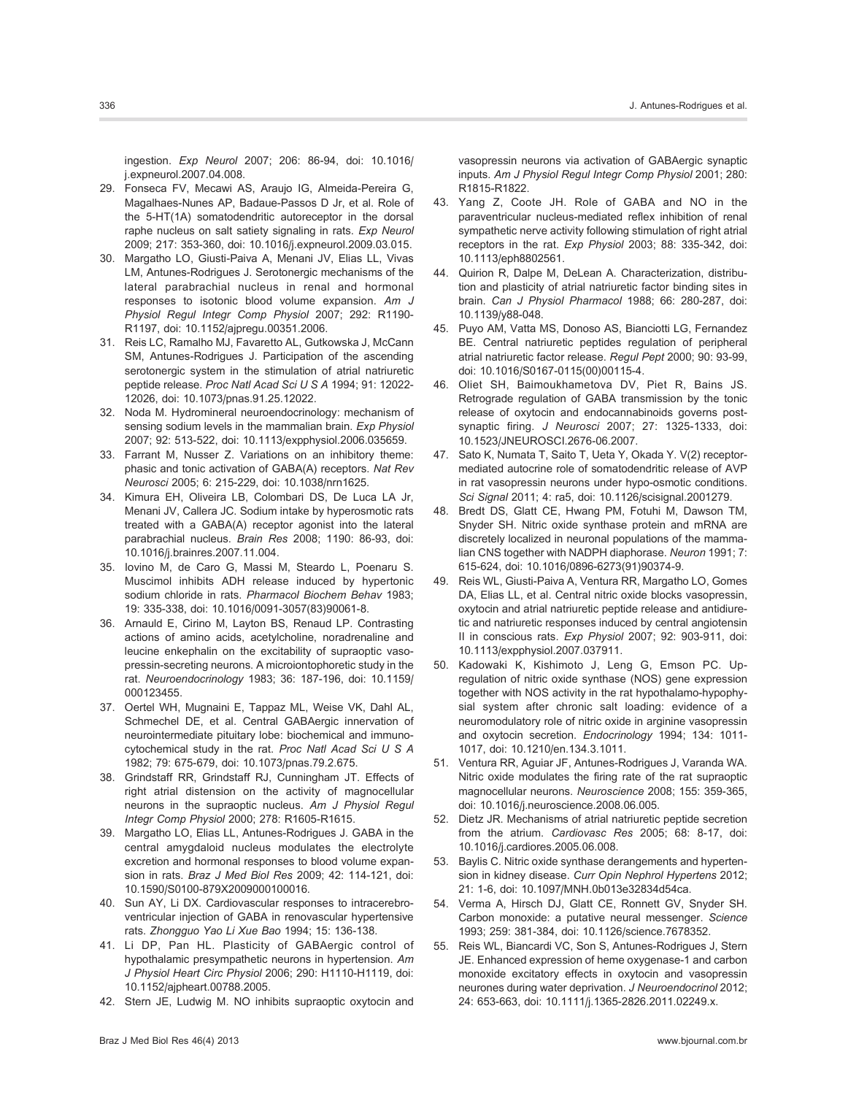ingestion. Exp Neurol 2007; 206: 86-94, doi: [10.1016/](http://dx.doi.org/10.1016%2Fj.expneurol.2007.04.008) [j.expneurol.2007.04.008.](http://dx.doi.org/10.1016%2Fj.expneurol.2007.04.008)

- 29. Fonseca FV, Mecawi AS, Araujo IG, Almeida-Pereira G, Magalhaes-Nunes AP, Badaue-Passos D Jr, et al. Role of the 5-HT(1A) somatodendritic autoreceptor in the dorsal raphe nucleus on salt satiety signaling in rats. Exp Neurol 2009; 217: 353-360, doi: [10.1016/j.expneurol.2009.03.015.](http://dx.doi.org/10.1016%2Fj.expneurol.2009.03.015)
- 30. Margatho LO, Giusti-Paiva A, Menani JV, Elias LL, Vivas LM, Antunes-Rodrigues J. Serotonergic mechanisms of the lateral parabrachial nucleus in renal and hormonal responses to isotonic blood volume expansion. Am J Physiol Regul Integr Comp Physiol 2007; 292: R1190- R1197, doi: [10.1152/ajpregu.00351.2006.](http://dx.doi.org/10.1152%2Fajpregu.00351.2006)
- 31. Reis LC, Ramalho MJ, Favaretto AL, Gutkowska J, McCann SM, Antunes-Rodrigues J. Participation of the ascending serotonergic system in the stimulation of atrial natriuretic peptide release. Proc Natl Acad Sci U S A 1994; 91: 12022- 12026, doi: [10.1073/pnas.91.25.12022.](http://dx.doi.org/10.1073%2Fpnas.91.25.12022)
- 32. Noda M. Hydromineral neuroendocrinology: mechanism of sensing sodium levels in the mammalian brain. Exp Physiol 2007; 92: 513-522, doi: [10.1113/expphysiol.2006.035659.](http://dx.doi.org/10.1113%2Fexpphysiol.2006.035659)
- 33. Farrant M, Nusser Z. Variations on an inhibitory theme: phasic and tonic activation of GABA(A) receptors. Nat Rev Neurosci 2005; 6: 215-229, doi: [10.1038/nrn1625.](http://dx.doi.org/10.1038%2Fnrn1625)
- 34. Kimura EH, Oliveira LB, Colombari DS, De Luca LA Jr, Menani JV, Callera JC. Sodium intake by hyperosmotic rats treated with a GABA(A) receptor agonist into the lateral parabrachial nucleus. Brain Res 2008; 1190: 86-93, doi: [10.1016/j.brainres.2007.11.004.](http://dx.doi.org/10.1016%2Fj.brainres.2007.11.004)
- 35. Iovino M, de Caro G, Massi M, Steardo L, Poenaru S. Muscimol inhibits ADH release induced by hypertonic sodium chloride in rats. Pharmacol Biochem Behav 1983; 19: 335-338, doi: [10.1016/0091-3057\(83\)90061-8.](http://dx.doi.org/10.1016%2F0091-3057%2883%2990061-8)
- 36. Arnauld E, Cirino M, Layton BS, Renaud LP. Contrasting actions of amino acids, acetylcholine, noradrenaline and leucine enkephalin on the excitability of supraoptic vasopressin-secreting neurons. A microiontophoretic study in the rat. Neuroendocrinology 1983; 36: 187-196, doi: [10.1159/](http://dx.doi.org/10.1159%2F000123455) [000123455.](http://dx.doi.org/10.1159%2F000123455)
- 37. Oertel WH, Mugnaini E, Tappaz ML, Weise VK, Dahl AL, Schmechel DE, et al. Central GABAergic innervation of neurointermediate pituitary lobe: biochemical and immunocytochemical study in the rat. Proc Natl Acad Sci U S A 1982; 79: 675-679, doi: [10.1073/pnas.79.2.675.](http://dx.doi.org/10.1073%2Fpnas.79.2.675)
- 38. Grindstaff RR, Grindstaff RJ, Cunningham JT. Effects of right atrial distension on the activity of magnocellular neurons in the supraoptic nucleus. Am J Physiol Regul Integr Comp Physiol 2000; 278: R1605-R1615.
- 39. Margatho LO, Elias LL, Antunes-Rodrigues J. GABA in the central amygdaloid nucleus modulates the electrolyte excretion and hormonal responses to blood volume expansion in rats. Braz J Med Biol Res 2009; 42: 114-121, doi: [10.1590/S0100-879X2009000100016.](http://dx.doi.org/10.1590%2FS0100-879X2009000100016)
- 40. Sun AY, Li DX. Cardiovascular responses to intracerebroventricular injection of GABA in renovascular hypertensive rats. Zhongguo Yao Li Xue Bao 1994; 15: 136-138.
- 41. Li DP, Pan HL. Plasticity of GABAergic control of hypothalamic presympathetic neurons in hypertension. Am J Physiol Heart Circ Physiol 2006; 290: H1110-H1119, doi: [10.1152/ajpheart.00788.2005.](http://dx.doi.org/10.1152%2Fajpheart.00788.2005)
- 42. Stern JE, Ludwig M. NO inhibits supraoptic oxytocin and

vasopressin neurons via activation of GABAergic synaptic inputs. Am J Physiol Regul Integr Comp Physiol 2001; 280: R1815-R1822.

- 43. Yang Z, Coote JH. Role of GABA and NO in the paraventricular nucleus-mediated reflex inhibition of renal sympathetic nerve activity following stimulation of right atrial receptors in the rat. Exp Physiol 2003; 88: 335-342, doi: [10.1113/eph8802561.](http://dx.doi.org/10.1113%2Feph8802561)
- 44. Quirion R, Dalpe M, DeLean A. Characterization, distribution and plasticity of atrial natriuretic factor binding sites in brain. Can J Physiol Pharmacol 1988; 66: 280-287, doi: [10.1139/y88-048.](http://dx.doi.org/10.1139%2Fy88-048)
- 45. Puyo AM, Vatta MS, Donoso AS, Bianciotti LG, Fernandez BE. Central natriuretic peptides regulation of peripheral atrial natriuretic factor release. Regul Pept 2000; 90: 93-99, doi: [10.1016/S0167-0115\(00\)00115-4.](http://dx.doi.org/10.1016%2FS0167-0115%2800%2900115-4)
- 46. Oliet SH, Baimoukhametova DV, Piet R, Bains JS. Retrograde regulation of GABA transmission by the tonic release of oxytocin and endocannabinoids governs postsynaptic firing. J Neurosci 2007; 27: 1325-1333, doi: [10.1523/JNEUROSCI.2676-06.2007.](http://dx.doi.org/10.1523%2FJNEUROSCI.2676-06.2007)
- 47. Sato K, Numata T, Saito T, Ueta Y, Okada Y. V(2) receptormediated autocrine role of somatodendritic release of AVP in rat vasopressin neurons under hypo-osmotic conditions. Sci Signal 2011; 4: ra5, doi: [10.1126/scisignal.2001279.](http://dx.doi.org/10.1126%2Fscisignal.2001279)
- 48. Bredt DS, Glatt CE, Hwang PM, Fotuhi M, Dawson TM, Snyder SH. Nitric oxide synthase protein and mRNA are discretely localized in neuronal populations of the mammalian CNS together with NADPH diaphorase. Neuron 1991; 7: 615-624, doi: [10.1016/0896-6273\(91\)90374-9.](http://dx.doi.org/10.1016%2F0896-6273%2891%2990374-9)
- 49. Reis WL, Giusti-Paiva A, Ventura RR, Margatho LO, Gomes DA, Elias LL, et al. Central nitric oxide blocks vasopressin, oxytocin and atrial natriuretic peptide release and antidiuretic and natriuretic responses induced by central angiotensin II in conscious rats. Exp Physiol 2007; 92: 903-911, doi: [10.1113/expphysiol.2007.037911.](http://dx.doi.org/10.1113%2Fexpphysiol.2007.037911)
- 50. Kadowaki K, Kishimoto J, Leng G, Emson PC. Upregulation of nitric oxide synthase (NOS) gene expression together with NOS activity in the rat hypothalamo-hypophysial system after chronic salt loading: evidence of a neuromodulatory role of nitric oxide in arginine vasopressin and oxytocin secretion. Endocrinology 1994; 134: 1011- 1017, doi: [10.1210/en.134.3.1011.](http://dx.doi.org/10.1210%2Fen.134.3.1011)
- 51. Ventura RR, Aguiar JF, Antunes-Rodrigues J, Varanda WA. Nitric oxide modulates the firing rate of the rat supraoptic magnocellular neurons. Neuroscience 2008; 155: 359-365, doi: [10.1016/j.neuroscience.2008.06.005.](http://dx.doi.org/10.1016%2Fj.neuroscience.2008.06.005)
- 52. Dietz JR. Mechanisms of atrial natriuretic peptide secretion from the atrium. Cardiovasc Res 2005; 68: 8-17, doi: [10.1016/j.cardiores.2005.06.008.](http://dx.doi.org/10.1016%2Fj.cardiores.2005.06.008)
- 53. Baylis C. Nitric oxide synthase derangements and hypertension in kidney disease. Curr Opin Nephrol Hypertens 2012; 21: 1-6, doi: [10.1097/MNH.0b013e32834d54ca.](http://dx.doi.org/10.1097%2FMNH.0b013e32834d54ca)
- 54. Verma A, Hirsch DJ, Glatt CE, Ronnett GV, Snyder SH. Carbon monoxide: a putative neural messenger. Science 1993; 259: 381-384, doi: [10.1126/science.7678352.](http://dx.doi.org/10.1126%2Fscience.7678352)
- 55. Reis WL, Biancardi VC, Son S, Antunes-Rodrigues J, Stern JE. Enhanced expression of heme oxygenase-1 and carbon monoxide excitatory effects in oxytocin and vasopressin neurones during water deprivation. J Neuroendocrinol 2012; 24: 653-663, doi: [10.1111/j.1365-2826.2011.02249.x.](http://dx.doi.org/10.1111%2Fj.1365-2826.2011.02249.x)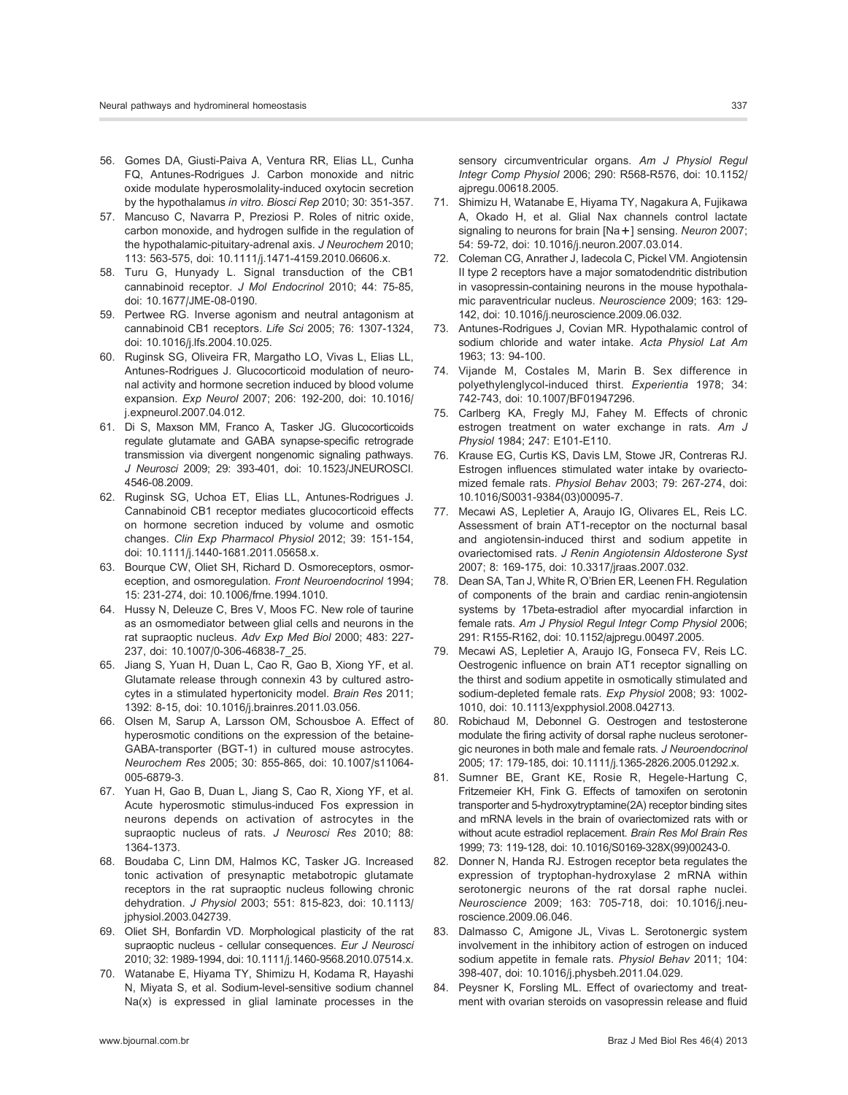- 56. Gomes DA, Giusti-Paiva A, Ventura RR, Elias LL, Cunha FQ, Antunes-Rodrigues J. Carbon monoxide and nitric oxide modulate hyperosmolality-induced oxytocin secretion by the hypothalamus in vitro. Biosci Rep 2010; 30: 351-357.
- 57. Mancuso C, Navarra P, Preziosi P. Roles of nitric oxide, carbon monoxide, and hydrogen sulfide in the regulation of the hypothalamic-pituitary-adrenal axis. J Neurochem 2010; 113: 563-575, doi: [10.1111/j.1471-4159.2010.06606.x.](http://dx.doi.org/10.1111%2Fj.1471-4159.2010.06606.x)
- 58. Turu G, Hunyady L. Signal transduction of the CB1 cannabinoid receptor. J Mol Endocrinol 2010; 44: 75-85, doi: [10.1677/JME-08-0190.](http://dx.doi.org/10.1677%2FJME-08-0190)
- 59. Pertwee RG. Inverse agonism and neutral antagonism at cannabinoid CB1 receptors. Life Sci 2005; 76: 1307-1324, doi: [10.1016/j.lfs.2004.10.025.](http://dx.doi.org/10.1016%2Fj.lfs.2004.10.025)
- 60. Ruginsk SG, Oliveira FR, Margatho LO, Vivas L, Elias LL, Antunes-Rodrigues J. Glucocorticoid modulation of neuronal activity and hormone secretion induced by blood volume expansion. Exp Neurol 2007; 206: 192-200, doi: [10.1016/](http://dx.doi.org/10.1016%2Fj.expneurol.2007.04.012) [j.expneurol.2007.04.012.](http://dx.doi.org/10.1016%2Fj.expneurol.2007.04.012)
- 61. Di S, Maxson MM, Franco A, Tasker JG. Glucocorticoids regulate glutamate and GABA synapse-specific retrograde transmission via divergent nongenomic signaling pathways. J Neurosci 2009; 29: 393-401, doi: [10.1523/JNEUROSCI.](http://dx.doi.org/10.1523%2FJNEUROSCI.4546-08.2009) [4546-08.2009.](http://dx.doi.org/10.1523%2FJNEUROSCI.4546-08.2009)
- 62. Ruginsk SG, Uchoa ET, Elias LL, Antunes-Rodrigues J. Cannabinoid CB1 receptor mediates glucocorticoid effects on hormone secretion induced by volume and osmotic changes. Clin Exp Pharmacol Physiol 2012; 39: 151-154, doi: [10.1111/j.1440-1681.2011.05658.x.](http://dx.doi.org/10.1111%2Fj.1440-1681.2011.05658.x)
- 63. Bourque CW, Oliet SH, Richard D. Osmoreceptors, osmoreception, and osmoregulation. Front Neuroendocrinol 1994; 15: 231-274, doi: [10.1006/frne.1994.1010.](http://dx.doi.org/10.1006%2Ffrne.1994.1010)
- 64. Hussy N, Deleuze C, Bres V, Moos FC. New role of taurine as an osmomediator between glial cells and neurons in the rat supraoptic nucleus. Adv Exp Med Biol 2000; 483: 227- 237, doi: [10.1007/0-306-46838-7\\_25.](http://dx.doi.org/10.1007%2F0-306-46838-7_25)
- 65. Jiang S, Yuan H, Duan L, Cao R, Gao B, Xiong YF, et al. Glutamate release through connexin 43 by cultured astrocytes in a stimulated hypertonicity model. Brain Res 2011; 1392: 8-15, doi: [10.1016/j.brainres.2011.03.056.](http://dx.doi.org/10.1016%2Fj.brainres.2011.03.056)
- 66. Olsen M, Sarup A, Larsson OM, Schousboe A. Effect of hyperosmotic conditions on the expression of the betaine-GABA-transporter (BGT-1) in cultured mouse astrocytes. Neurochem Res 2005; 30: 855-865, doi: [10.1007/s11064-](http://dx.doi.org/10.1007%2Fs11064-005-6879-3) [005-6879-3.](http://dx.doi.org/10.1007%2Fs11064-005-6879-3)
- 67. Yuan H, Gao B, Duan L, Jiang S, Cao R, Xiong YF, et al. Acute hyperosmotic stimulus-induced Fos expression in neurons depends on activation of astrocytes in the supraoptic nucleus of rats. J Neurosci Res 2010; 88: 1364-1373.
- 68. Boudaba C, Linn DM, Halmos KC, Tasker JG. Increased tonic activation of presynaptic metabotropic glutamate receptors in the rat supraoptic nucleus following chronic dehydration. J Physiol 2003; 551: 815-823, doi: [10.1113/](http://dx.doi.org/10.1113%2Fjphysiol.2003.042739) [jphysiol.2003.042739.](http://dx.doi.org/10.1113%2Fjphysiol.2003.042739)
- 69. Oliet SH, Bonfardin VD. Morphological plasticity of the rat supraoptic nucleus - cellular consequences. Eur J Neurosci 2010; 32: 1989-1994, doi: [10.1111/j.1460-9568.2010.07514.x.](http://dx.doi.org/10.1111%2Fj.1460-9568.2010.07514.x)
- 70. Watanabe E, Hiyama TY, Shimizu H, Kodama R, Hayashi N, Miyata S, et al. Sodium-level-sensitive sodium channel Na(x) is expressed in glial laminate processes in the

sensory circumventricular organs. Am J Physiol Regul Integr Comp Physiol 2006; 290: R568-R576, doi: [10.1152/](http://dx.doi.org/10.1152%2Fajpregu.00618.2005) [ajpregu.00618.2005.](http://dx.doi.org/10.1152%2Fajpregu.00618.2005)

- 71. Shimizu H, Watanabe E, Hiyama TY, Nagakura A, Fujikawa A, Okado H, et al. Glial Nax channels control lactate signaling to neurons for brain [Na+] sensing. Neuron 2007; 54: 59-72, doi: [10.1016/j.neuron.2007.03.014.](http://dx.doi.org/10.1016%2Fj.neuron.2007.03.014)
- 72. Coleman CG, Anrather J, Iadecola C, Pickel VM. Angiotensin II type 2 receptors have a major somatodendritic distribution in vasopressin-containing neurons in the mouse hypothalamic paraventricular nucleus. Neuroscience 2009; 163: 129- 142, doi: [10.1016/j.neuroscience.2009.06.032.](http://dx.doi.org/10.1016%2Fj.neuroscience.2009.06.032)
- 73. Antunes-Rodrigues J, Covian MR. Hypothalamic control of sodium chloride and water intake. Acta Physiol Lat Am 1963; 13: 94-100.
- 74. Vijande M, Costales M, Marin B. Sex difference in polyethylenglycol-induced thirst. Experientia 1978; 34: 742-743, doi: [10.1007/BF01947296.](http://dx.doi.org/10.1007%2FBF01947296)
- 75. Carlberg KA, Fregly MJ, Fahey M. Effects of chronic estrogen treatment on water exchange in rats. Am J Physiol 1984; 247: E101-E110.
- 76. Krause EG, Curtis KS, Davis LM, Stowe JR, Contreras RJ. Estrogen influences stimulated water intake by ovariectomized female rats. Physiol Behav 2003; 79: 267-274, doi: [10.1016/S0031-9384\(03\)00095-7.](http://dx.doi.org/10.1016%2FS0031-9384%2803%2900095-7)
- 77. Mecawi AS, Lepletier A, Araujo IG, Olivares EL, Reis LC. Assessment of brain AT1-receptor on the nocturnal basal and angiotensin-induced thirst and sodium appetite in ovariectomised rats. J Renin Angiotensin Aldosterone Syst 2007; 8: 169-175, doi: [10.3317/jraas.2007.032.](http://dx.doi.org/10.3317%2Fjraas.2007.032)
- 78. Dean SA, Tan J, White R, O'Brien ER, Leenen FH. Regulation of components of the brain and cardiac renin-angiotensin systems by 17beta-estradiol after myocardial infarction in female rats. Am J Physiol Regul Integr Comp Physiol 2006; 291: R155-R162, doi: [10.1152/ajpregu.00497.2005.](http://dx.doi.org/10.1152%2Fajpregu.00497.2005)
- 79. Mecawi AS, Lepletier A, Araujo IG, Fonseca FV, Reis LC. Oestrogenic influence on brain AT1 receptor signalling on the thirst and sodium appetite in osmotically stimulated and sodium-depleted female rats. Exp Physiol 2008; 93: 1002- 1010, doi: [10.1113/expphysiol.2008.042713.](http://dx.doi.org/10.1113%2Fexpphysiol.2008.042713)
- 80. Robichaud M, Debonnel G. Oestrogen and testosterone modulate the firing activity of dorsal raphe nucleus serotonergic neurones in both male and female rats. J Neuroendocrinol 2005; 17: 179-185, doi: [10.1111/j.1365-2826.2005.01292.x.](http://dx.doi.org/10.1111%2Fj.1365-2826.2005.01292.x)
- 81. Sumner BE, Grant KE, Rosie R, Hegele-Hartung C, Fritzemeier KH, Fink G. Effects of tamoxifen on serotonin transporter and 5-hydroxytryptamine(2A) receptor binding sites and mRNA levels in the brain of ovariectomized rats with or without acute estradiol replacement. Brain Res Mol Brain Res 1999; 73: 119-128, doi: [10.1016/S0169-328X\(99\)00243-0.](http://dx.doi.org/10.1016%2FS0169-328X%2899%2900243-0)
- 82. Donner N, Handa RJ. Estrogen receptor beta regulates the expression of tryptophan-hydroxylase 2 mRNA within serotonergic neurons of the rat dorsal raphe nuclei. Neuroscience 2009; 163: 705-718, doi: [10.1016/j.neu](http://dx.doi.org/10.1016%2Fj.neuroscience.2009.06.046)[roscience.2009.06.046.](http://dx.doi.org/10.1016%2Fj.neuroscience.2009.06.046)
- 83. Dalmasso C, Amigone JL, Vivas L. Serotonergic system involvement in the inhibitory action of estrogen on induced sodium appetite in female rats. Physiol Behav 2011; 104: 398-407, doi: [10.1016/j.physbeh.2011.04.029.](http://dx.doi.org/10.1016%2Fj.physbeh.2011.04.029)
- 84. Peysner K, Forsling ML. Effect of ovariectomy and treatment with ovarian steroids on vasopressin release and fluid